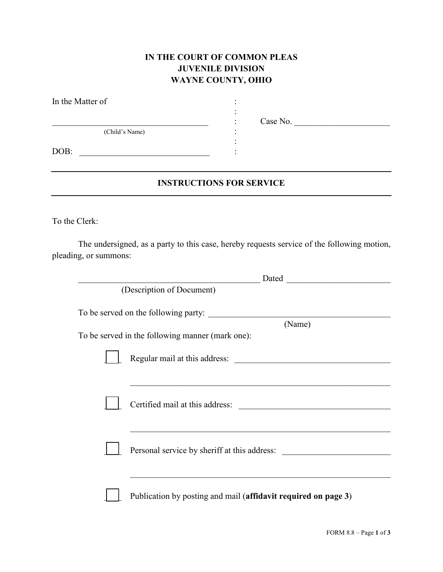## **IN THE COURT OF COMMON PLEAS JUVENILE DIVISION WAYNE COUNTY, OHIO**

| In the Matter of |  |  |
|------------------|--|--|
|                  |  |  |
| (Child's Name)   |  |  |
| DOB:             |  |  |

\_\_\_\_\_\_\_\_\_\_\_\_\_\_\_\_\_\_\_\_\_\_\_\_\_\_\_\_\_\_\_\_\_\_\_\_ : Case No. \_\_\_\_\_\_\_\_\_\_\_\_\_\_\_\_\_\_\_\_\_\_

## **INSTRUCTIONS FOR SERVICE**

To the Clerk:

The undersigned, as a party to this case, hereby requests service of the following motion, pleading, or summons:

|                                      | Dated                                                          |  |  |  |
|--------------------------------------|----------------------------------------------------------------|--|--|--|
| (Description of Document)            |                                                                |  |  |  |
| To be served on the following party: |                                                                |  |  |  |
|                                      | (Name)                                                         |  |  |  |
|                                      | To be served in the following manner (mark one):               |  |  |  |
|                                      | Regular mail at this address:                                  |  |  |  |
|                                      |                                                                |  |  |  |
|                                      |                                                                |  |  |  |
|                                      | Certified mail at this address:                                |  |  |  |
|                                      |                                                                |  |  |  |
|                                      |                                                                |  |  |  |
|                                      | Personal service by sheriff at this address:                   |  |  |  |
|                                      |                                                                |  |  |  |
|                                      |                                                                |  |  |  |
|                                      | Publication by posting and mail (affidavit required on page 3) |  |  |  |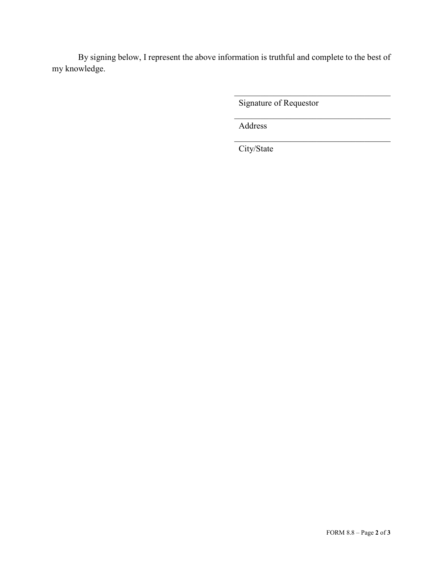By signing below, I represent the above information is truthful and complete to the best of my knowledge.

Signature of Requestor

 $\mathcal{L}_\mathcal{L}$ 

 $\mathcal{L}_\text{max}$  , where  $\mathcal{L}_\text{max}$  and  $\mathcal{L}_\text{max}$  and  $\mathcal{L}_\text{max}$ 

Address

City/State